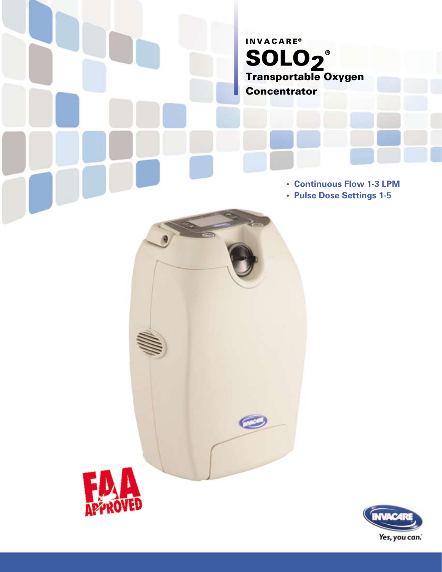# **INVACARE®** SOLO2 ® Transportable Oxygen **Concentrator**

 $\bullet$ 

**• Continuous Flow 1-3 LPM**

**• Pulse Dose Settings 1-5**



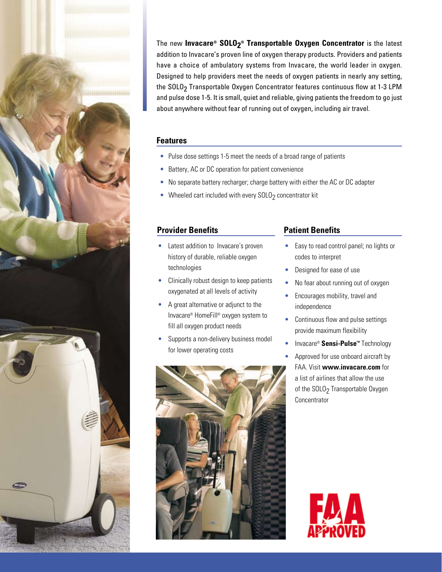The new **Invacare® SOLO2 ® Transportable Oxygen Concentrator** is the latest addition to Invacare's proven line of oxygen therapy products. Providers and patients have a choice of ambulatory systems from Invacare, the world leader in oxygen. Designed to help providers meet the needs of oxygen patients in nearly any setting, the SOLO<sub>2</sub> Transportable Oxygen Concentrator features continuous flow at 1-3 LPM and pulse dose 1-5. It is small, quiet and reliable, giving patients the freedom to go just about anywhere without fear of running out of oxygen, including air travel.

#### **Features**

- Pulse dose settings 1-5 meet the needs of a broad range of patients
- Battery, AC or DC operation for patient convenience
- No separate battery recharger; charge battery with either the AC or DC adapter
- Wheeled cart included with every  $SOLO<sub>2</sub>$  concentrator kit

## **Provider Benefits**

- Latest addition to Invacare's proven history of durable, reliable oxygen technologies
- Clinically robust design to keep patients oxygenated at all levels of activity
- A great alternative or adjunct to the Invacare® HomeFill® oxygen system to fill all oxygen product needs
- Supports a non-delivery business model for lower operating costs



# **Patient Benefits**

- Easy to read control panel; no lights or codes to interpret
- Designed for ease of use
- No fear about running out of oxygen
- Encourages mobility, travel and independence
- Continuous flow and pulse settings provide maximum flexibility
- Invacare® **Sensi-Pulse™** Technology
- Approved for use onboard aircraft by FAA. Visit **www.invacare.com** for a list of airlines that allow the use of the SOLO<sub>2</sub> Transportable Oxygen Concentrator



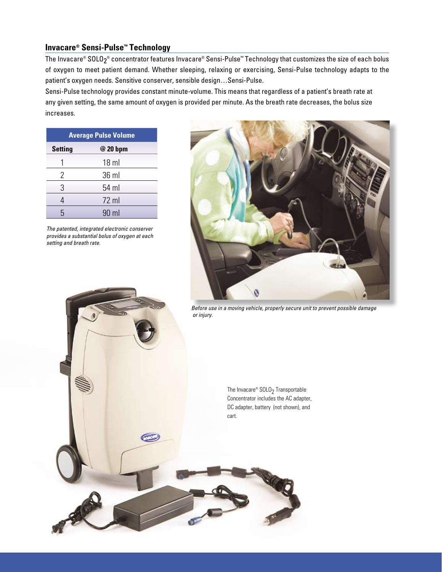### **Invacare® Sensi-Pulse™ Technology**

The Invacare® SOLO $_2^\circ$  concentrator features Invacare® Sensi-Pulse™ Technology that customizes the size of each bolus of oxygen to meet patient demand. Whether sleeping, relaxing or exercising, Sensi-Pulse technology adapts to the patient's oxygen needs. Sensitive conserver, sensible design…Sensi-Pulse.

Sensi-Pulse technology provides constant minute-volume. This means that regardless of a patient's breath rate at any given setting, the same amount of oxygen is provided per minute. As the breath rate decreases, the bolus size increases.

|                | <b>Average Pulse Volume</b> |
|----------------|-----------------------------|
| <b>Setting</b> | @ 20 bpm                    |
|                | $18$ ml                     |
| 2              | 36 ml                       |
| 3              | 54 ml                       |
| 4              | $72$ ml                     |
| հ              | 90 ml                       |

*The patented, integrated electronic conserver provides a substantial bolus of oxygen at each setting and breath rate.*



*Before use in a moving vehicle, properly secure unit to prevent possible damage or injury.*

The Invacare®  $S OLO<sub>2</sub>$  Transportable Concentrator includes the AC adapter, DC adapter, battery (not shown), and cart.